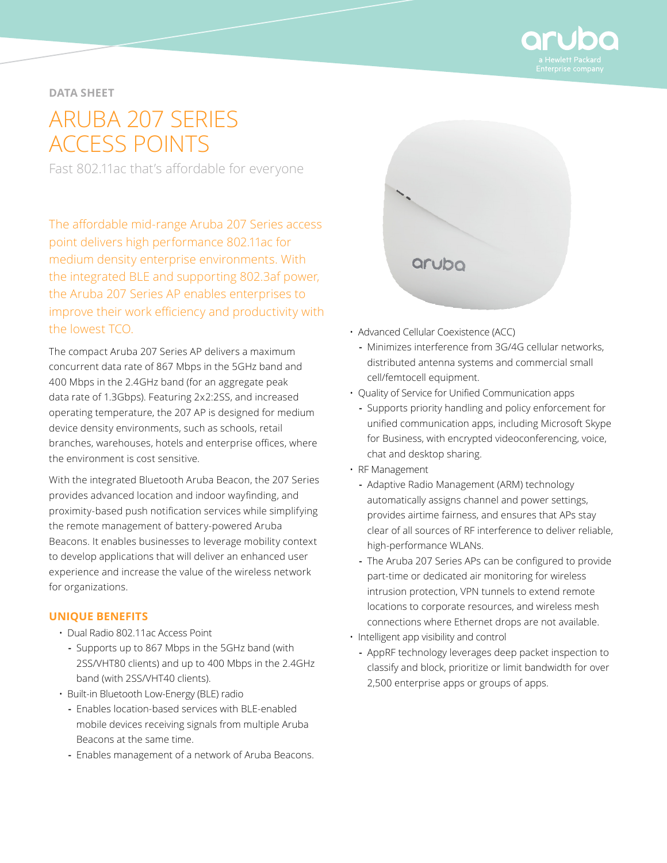

# **DATA SHEET**

# ARUBA 207 SERIES ACCESS POINTS

Fast 802.11ac that's affordable for everyone

The affordable mid-range Aruba 207 Series access point delivers high performance 802.11ac for medium density enterprise environments. With the integrated BLE and supporting 802.3af power, the Aruba 207 Series AP enables enterprises to improve their work efficiency and productivity with the lowest TCO.

The compact Aruba 207 Series AP delivers a maximum concurrent data rate of 867 Mbps in the 5GHz band and 400 Mbps in the 2.4GHz band (for an aggregate peak data rate of 1.3Gbps). Featuring 2x2:2SS, and increased operating temperature, the 207 AP is designed for medium device density environments, such as schools, retail branches, warehouses, hotels and enterprise offices, where the environment is cost sensitive.

With the integrated Bluetooth Aruba Beacon, the 207 Series provides advanced location and indoor wayfinding, and proximity-based push notification services while simplifying the remote management of battery-powered Aruba Beacons. It enables businesses to leverage mobility context to develop applications that will deliver an enhanced user experience and increase the value of the wireless network for organizations.

#### **UNIQUE BENEFITS**

- Dual Radio 802.11ac Access Point
	- **-** Supports up to 867 Mbps in the 5GHz band (with 2SS/VHT80 clients) and up to 400 Mbps in the 2.4GHz band (with 2SS/VHT40 clients).
- Built-in Bluetooth Low-Energy (BLE) radio
	- **-** Enables location-based services with BLE-enabled mobile devices receiving signals from multiple Aruba Beacons at the same time.
	- **-** Enables management of a network of Aruba Beacons.



- Advanced Cellular Coexistence (ACC)
	- **-** Minimizes interference from 3G/4G cellular networks, distributed antenna systems and commercial small cell/femtocell equipment.
- Quality of Service for Unified Communication apps
- **-** Supports priority handling and policy enforcement for unified communication apps, including Microsoft Skype for Business, with encrypted videoconferencing, voice, chat and desktop sharing.
- RF Management
	- **-** Adaptive Radio Management (ARM) technology automatically assigns channel and power settings, provides airtime fairness, and ensures that APs stay clear of all sources of RF interference to deliver reliable, high-performance WLANs.
	- **-** The Aruba 207 Series APs can be configured to provide part-time or dedicated air monitoring for wireless intrusion protection, VPN tunnels to extend remote locations to corporate resources, and wireless mesh connections where Ethernet drops are not available.
- Intelligent app visibility and control
	- **-** AppRF technology leverages deep packet inspection to classify and block, prioritize or limit bandwidth for over 2,500 enterprise apps or groups of apps.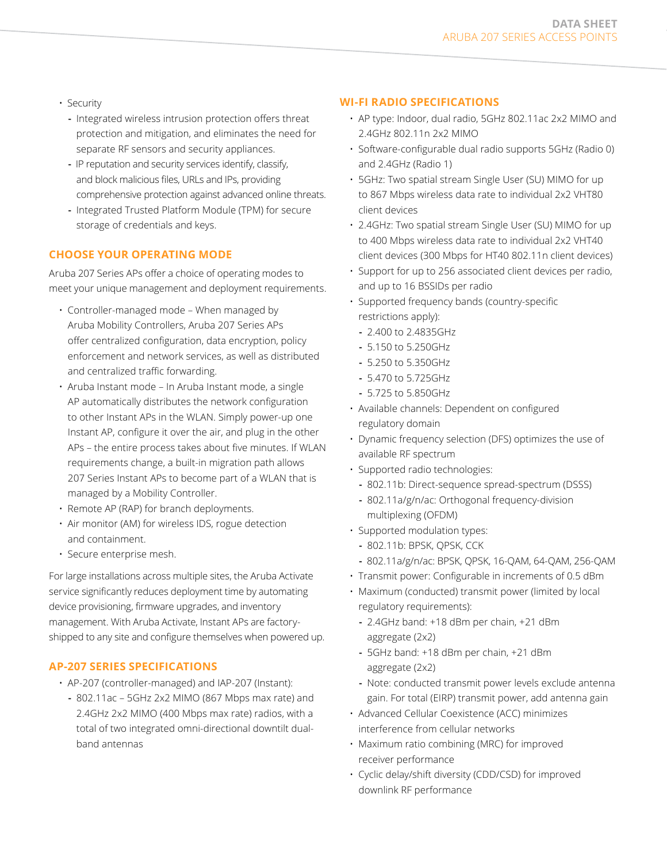- Security
	- **-** Integrated wireless intrusion protection offers threat protection and mitigation, and eliminates the need for separate RF sensors and security appliances.
	- **-** IP reputation and security services identify, classify, and block malicious files, URLs and IPs, providing comprehensive protection against advanced online threats.
	- **-** Integrated Trusted Platform Module (TPM) for secure storage of credentials and keys.

# **CHOOSE YOUR OPERATING MODE**

Aruba 207 Series APs offer a choice of operating modes to meet your unique management and deployment requirements.

- Controller-managed mode When managed by Aruba Mobility Controllers, Aruba 207 Series APs offer centralized configuration, data encryption, policy enforcement and network services, as well as distributed and centralized traffic forwarding.
- Aruba Instant mode In Aruba Instant mode, a single AP automatically distributes the network configuration to other Instant APs in the WLAN. Simply power-up one Instant AP, configure it over the air, and plug in the other APs – the entire process takes about five minutes. If WLAN requirements change, a built-in migration path allows 207 Series Instant APs to become part of a WLAN that is managed by a Mobility Controller.
- Remote AP (RAP) for branch deployments.
- Air monitor (AM) for wireless IDS, rogue detection and containment.
- Secure enterprise mesh.

For large installations across multiple sites, the Aruba Activate service significantly reduces deployment time by automating device provisioning, firmware upgrades, and inventory management. With Aruba Activate, Instant APs are factoryshipped to any site and configure themselves when powered up.

# **AP-207 SERIES SPECIFICATIONS**

- AP-207 (controller-managed) and IAP-207 (Instant):
	- **-** 802.11ac 5GHz 2x2 MIMO (867 Mbps max rate) and 2.4GHz 2x2 MIMO (400 Mbps max rate) radios, with a total of two integrated omni-directional downtilt dualband antennas

# **WI-FI RADIO SPECIFICATIONS**

- AP type: Indoor, dual radio, 5GHz 802.11ac 2x2 MIMO and 2.4GHz 802.11n 2x2 MIMO
- Software-configurable dual radio supports 5GHz (Radio 0) and 2.4GHz (Radio 1)
- 5GHz: Two spatial stream Single User (SU) MIMO for up to 867 Mbps wireless data rate to individual 2x2 VHT80 client devices
- 2.4GHz: Two spatial stream Single User (SU) MIMO for up to 400 Mbps wireless data rate to individual 2x2 VHT40 client devices (300 Mbps for HT40 802.11n client devices)
- Support for up to 256 associated client devices per radio, and up to 16 BSSIDs per radio
- Supported frequency bands (country-specific restrictions apply):
	- **-** 2.400 to 2.4835GHz
	- **-** 5.150 to 5.250GHz
	- **-** 5.250 to 5.350GHz
	- **-** 5.470 to 5.725GHz
	- **-** 5.725 to 5.850GHz
- Available channels: Dependent on configured regulatory domain
- Dynamic frequency selection (DFS) optimizes the use of available RF spectrum
- Supported radio technologies:
	- **-** 802.11b: Direct-sequence spread-spectrum (DSSS)
	- **-** 802.11a/g/n/ac: Orthogonal frequency-division multiplexing (OFDM)
- Supported modulation types:
	- **-** 802.11b: BPSK, QPSK, CCK
	- **-** 802.11a/g/n/ac: BPSK, QPSK, 16-QAM, 64-QAM, 256-QAM
- Transmit power: Configurable in increments of 0.5 dBm
- Maximum (conducted) transmit power (limited by local regulatory requirements):
	- **-** 2.4GHz band: +18 dBm per chain, +21 dBm aggregate (2x2)
	- **-** 5GHz band: +18 dBm per chain, +21 dBm aggregate (2x2)
	- **-** Note: conducted transmit power levels exclude antenna gain. For total (EIRP) transmit power, add antenna gain
- Advanced Cellular Coexistence (ACC) minimizes interference from cellular networks
- Maximum ratio combining (MRC) for improved receiver performance
- Cyclic delay/shift diversity (CDD/CSD) for improved downlink RF performance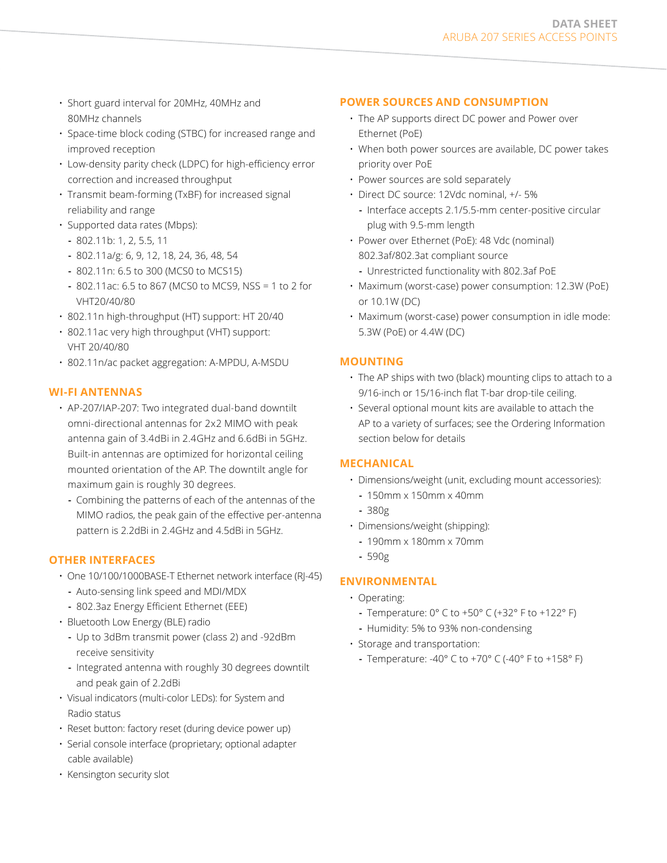- Short guard interval for 20MHz, 40MHz and 80MHz channels
- Space-time block coding (STBC) for increased range and improved reception
- Low-density parity check (LDPC) for high-efficiency error correction and increased throughput
- Transmit beam-forming (TxBF) for increased signal reliability and range
- Supported data rates (Mbps):
	- **-** 802.11b: 1, 2, 5.5, 11
	- **-** 802.11a/g: 6, 9, 12, 18, 24, 36, 48, 54
	- **-** 802.11n: 6.5 to 300 (MCS0 to MCS15)
	- **-** 802.11ac: 6.5 to 867 (MCS0 to MCS9, NSS = 1 to 2 for VHT20/40/80
- 802.11n high-throughput (HT) support: HT 20/40
- 802.11ac very high throughput (VHT) support: VHT 20/40/80
- 802.11n/ac packet aggregation: A-MPDU, A-MSDU

# **WI-FI ANTENNAS**

- AP-207/IAP-207: Two integrated dual-band downtilt omni-directional antennas for 2x2 MIMO with peak antenna gain of 3.4dBi in 2.4GHz and 6.6dBi in 5GHz. Built-in antennas are optimized for horizontal ceiling mounted orientation of the AP. The downtilt angle for maximum gain is roughly 30 degrees.
	- **-** Combining the patterns of each of the antennas of the MIMO radios, the peak gain of the effective per-antenna pattern is 2.2dBi in 2.4GHz and 4.5dBi in 5GHz.

# **OTHER INTERFACES**

- One 10/100/1000BASE-T Ethernet network interface (RJ-45) **-** Auto-sensing link speed and MDI/MDX
	- **-** 802.3az Energy Efficient Ethernet (EEE)
- 
- Bluetooth Low Energy (BLE) radio
	- **-** Up to 3dBm transmit power (class 2) and -92dBm receive sensitivity
	- **-** Integrated antenna with roughly 30 degrees downtilt and peak gain of 2.2dBi
- Visual indicators (multi-color LEDs): for System and Radio status
- Reset button: factory reset (during device power up)
- Serial console interface (proprietary; optional adapter cable available)
- Kensington security slot

# **POWER SOURCES AND CONSUMPTION**

- The AP supports direct DC power and Power over Ethernet (PoE)
- When both power sources are available, DC power takes priority over PoE
- Power sources are sold separately
- Direct DC source: 12Vdc nominal, +/- 5% **-** Interface accepts 2.1/5.5-mm center-positive circular plug with 9.5-mm length
- Power over Ethernet (PoE): 48 Vdc (nominal) 802.3af/802.3at compliant source
	- **-** Unrestricted functionality with 802.3af PoE
- Maximum (worst-case) power consumption: 12.3W (PoE) or 10.1W (DC)
- Maximum (worst-case) power consumption in idle mode: 5.3W (PoE) or 4.4W (DC)

# **MOUNTING**

- The AP ships with two (black) mounting clips to attach to a 9/16-inch or 15/16-inch flat T-bar drop-tile ceiling.
- Several optional mount kits are available to attach the AP to a variety of surfaces; see the Ordering Information section below for details

#### **MECHANICAL**

- Dimensions/weight (unit, excluding mount accessories):
	- **-** 150mm x 150mm x 40mm
- **-** 380g
- Dimensions/weight (shipping):
	- **-** 190mm x 180mm x 70mm
- **-** 590g

# **ENVIRONMENTAL**

- Operating:
	- **-** Temperature: 0° C to +50° C (+32° F to +122° F)
	- **-** Humidity: 5% to 93% non-condensing
- Storage and transportation:
	- **-** Temperature: -40° C to +70° C (-40° F to +158° F)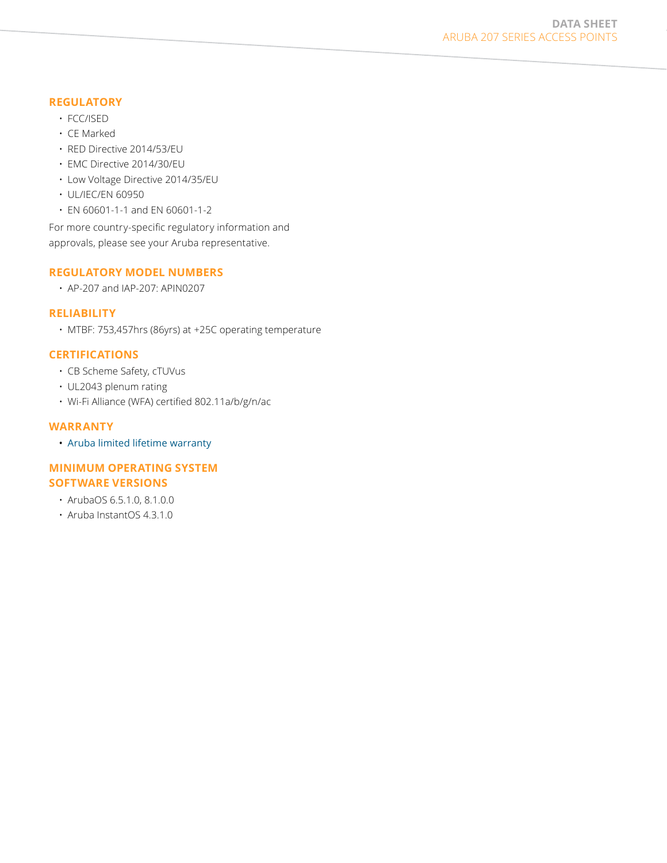#### **REGULATORY**

- FCC/ISED
- CE Marked
- RED Directive 2014/53/EU
- EMC Directive 2014/30/EU
- Low Voltage Directive 2014/35/EU
- UL/IEC/EN 60950
- EN 60601-1-1 and EN 60601-1-2

For more country-specific regulatory information and approvals, please see your Aruba representative.

# **REGULATORY MODEL NUMBERS**

• AP-207 and IAP-207: APIN0207

# **RELIABILITY**

• MTBF: 753,457hrs (86yrs) at +25C operating temperature

# **CERTIFICATIONS**

- CB Scheme Safety, cTUVus
- UL2043 plenum rating
- Wi-Fi Alliance (WFA) certified 802.11a/b/g/n/ac

#### **WARRANTY**

• [Aruba limited lifetime warranty](http://www.arubanetworks.com/support-services/product-warranties/)

# **MINIMUM OPERATING SYSTEM SOFTWARE VERSIONS**

- ArubaOS 6.5.1.0, 8.1.0.0
- Aruba InstantOS 4.3.1.0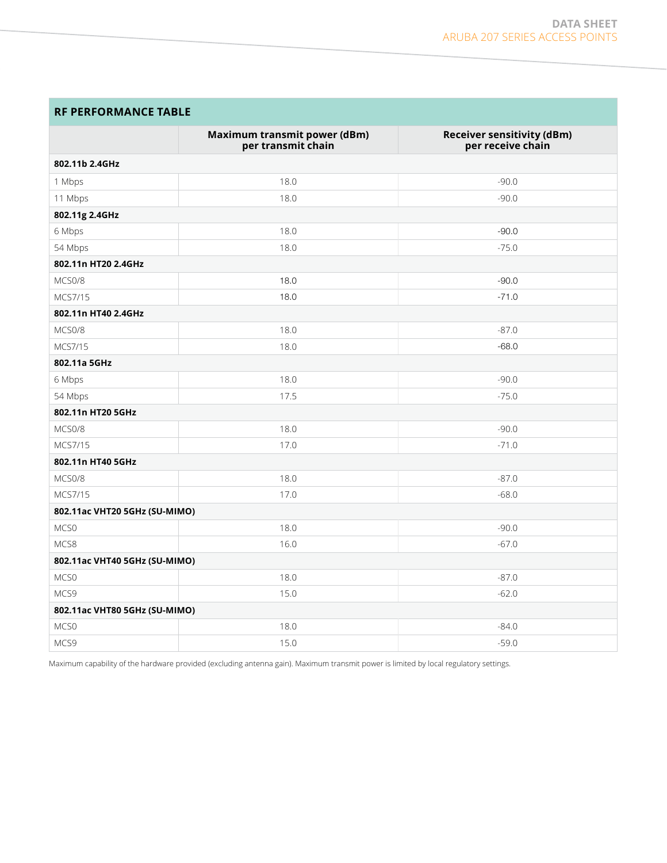# **RF PERFORMANCE TABLE**

|                               | Maximum transmit power (dBm)<br>per transmit chain | <b>Receiver sensitivity (dBm)</b><br>per receive chain |  |
|-------------------------------|----------------------------------------------------|--------------------------------------------------------|--|
| 802.11b 2.4GHz                |                                                    |                                                        |  |
| 1 Mbps                        | 18.0                                               | $-90.0$                                                |  |
| 11 Mbps                       | 18.0                                               | $-90.0$                                                |  |
| 802.11g 2.4GHz                |                                                    |                                                        |  |
| 6 Mbps                        | 18.0                                               | $-90.0$                                                |  |
| 54 Mbps                       | 18.0                                               | $-75.0$                                                |  |
| 802.11n HT20 2.4GHz           |                                                    |                                                        |  |
| MCS0/8                        | 18.0                                               | $-90.0$                                                |  |
| MCS7/15                       | 18.0                                               | $-71.0$                                                |  |
| 802.11n HT40 2.4GHz           |                                                    |                                                        |  |
| MCS0/8                        | 18.0                                               | $-87.0$                                                |  |
| MCS7/15                       | 18.0                                               | $-68.0$                                                |  |
| 802.11a 5GHz                  |                                                    |                                                        |  |
| 6 Mbps                        | 18.0                                               | $-90.0$                                                |  |
| 54 Mbps                       | 17.5                                               | $-75.0$                                                |  |
| 802.11n HT20 5GHz             |                                                    |                                                        |  |
| MCS0/8                        | 18.0                                               | $-90.0$                                                |  |
| MCS7/15                       | 17.0                                               | $-71.0$                                                |  |
| 802.11n HT40 5GHz             |                                                    |                                                        |  |
| MCS0/8                        | 18.0                                               | $-87.0$                                                |  |
| MCS7/15                       | 17.0                                               | $-68.0$                                                |  |
| 802.11ac VHT20 5GHz (SU-MIMO) |                                                    |                                                        |  |
| MCS0                          | 18.0                                               | $-90.0$                                                |  |
| MCS8                          | 16.0                                               | $-67.0$                                                |  |
| 802.11ac VHT40 5GHz (SU-MIMO) |                                                    |                                                        |  |
| MCS0                          | 18.0                                               | $-87.0$                                                |  |
| MCS9                          | 15.0                                               | $-62.0$                                                |  |
| 802.11ac VHT80 5GHz (SU-MIMO) |                                                    |                                                        |  |
| MCS0                          | 18.0                                               | $-84.0$                                                |  |
| MCS9                          | 15.0                                               | $-59.0$                                                |  |

Maximum capability of the hardware provided (excluding antenna gain). Maximum transmit power is limited by local regulatory settings.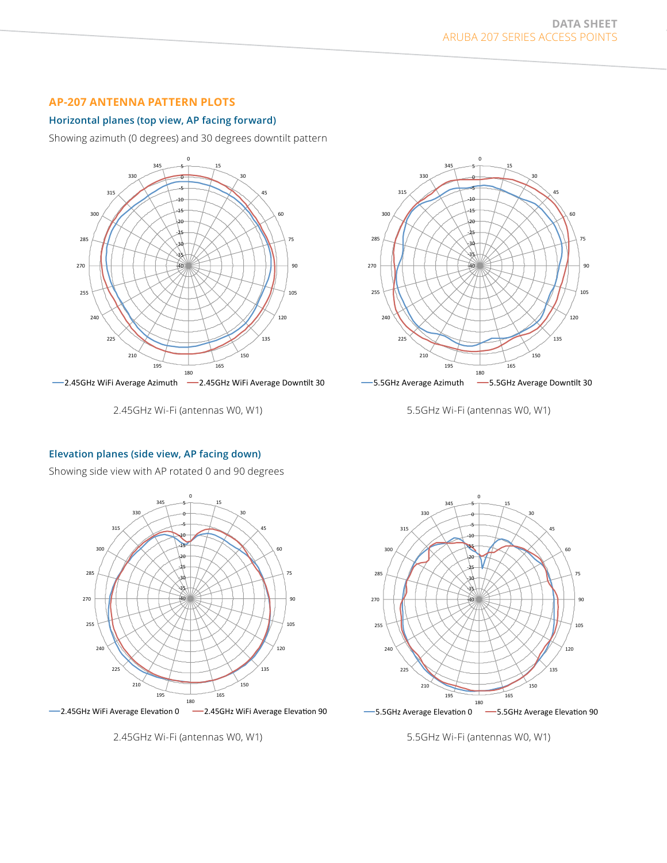# **AP-207 ANTENNA PATTERN PLOTS**

#### **Horizontal planes (top view, AP facing forward)**

Showing azimuth (0 degrees) and 30 degrees downtilt pattern



2.45GHz Wi-Fi (antennas W0, W1)



5.5GHz Wi-Fi (antennas W0, W1)

#### **Elevation planes (side view, AP facing down)**

Showing side view with AP rotated 0 and 90 degrees



 $-2.45$ GHz WiFi Average Elevation 0  $-\prime$ 2.45GHz WiFi Average Elevation 90

2.45GHz Wi-Fi (antennas W0, W1)



5.5GHz Wi-Fi (antennas W0, W1)